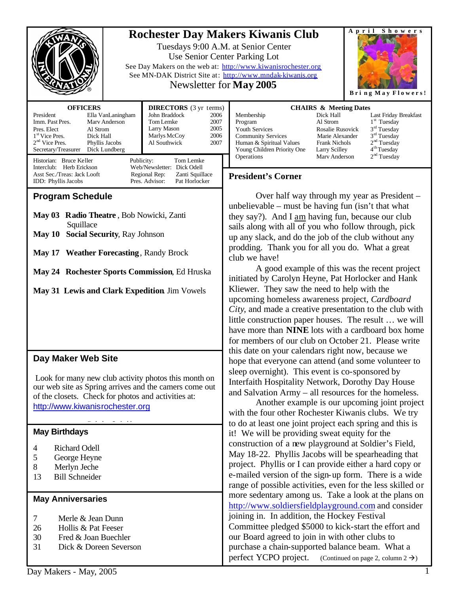| Newsletter for <b>May 2005</b>                                                                                                                                                                                                                                                                                                                                                                                                                                               | Showers<br>April<br><b>Rochester Day Makers Kiwanis Club</b><br>Tuesdays 9:00 A.M. at Senior Center<br>Use Senior Center Parking Lot<br>See Day Makers on the web at: http://www.kiwanisrochester.org<br>See MN-DAK District Site at: http://www.mndak-kiwanis.org<br>Bring May Flowers!                                                                                                                                                                                                                                                                                                                                                                                                                                                                                                                                                                                                                                                                                                                                                                                  |
|------------------------------------------------------------------------------------------------------------------------------------------------------------------------------------------------------------------------------------------------------------------------------------------------------------------------------------------------------------------------------------------------------------------------------------------------------------------------------|---------------------------------------------------------------------------------------------------------------------------------------------------------------------------------------------------------------------------------------------------------------------------------------------------------------------------------------------------------------------------------------------------------------------------------------------------------------------------------------------------------------------------------------------------------------------------------------------------------------------------------------------------------------------------------------------------------------------------------------------------------------------------------------------------------------------------------------------------------------------------------------------------------------------------------------------------------------------------------------------------------------------------------------------------------------------------|
| <b>OFFICERS</b><br><b>DIRECTORS</b> (3 yr terms)<br>President<br>John Braddock<br>Ella VanLaningham<br>2006<br>Imm. Past Pres.<br>2007<br>Mary Anderson<br>Tom Lemke<br>2005<br>Larry Mason<br>Pres. Elect<br>Al Strom<br>2006<br>Marlys McCoy<br>1 <sup>st</sup> Vice Pres.<br>Dick Hall<br>$2nd$ Vice Pres.<br>Phyllis Jacobs<br>Al Southwick<br>2007<br>Secretary/Treasurer<br>Dick Lundberg                                                                              | <b>CHAIRS &amp; Meeting Dates</b><br>Membership<br>Dick Hall<br>Last Friday Breakfast<br>1 <sup>st</sup> Tuesday<br>Al Strom<br>Program<br>3 <sup>rd</sup> Tuesday<br>Youth Services<br><b>Rosalie Rusovick</b><br>3 <sup>rd</sup> Tuesday<br><b>Community Services</b><br>Marie Alexander<br>2 <sup>nd</sup> Tuesday<br>Human & Spiritual Values<br>Frank Nichols<br>4 <sup>th</sup> Tuesday<br>Young Children Priority One<br>Larry Scilley                                                                                                                                                                                                                                                                                                                                                                                                                                                                                                                                                                                                                             |
| Historian: Bruce Keller<br>Publicity:<br>Tom Lemke<br>Interclub: Herb Erickson<br>Web/Newsletter: Dick Odell<br>Asst Sec./Treas: Jack Looft<br>Regional Rep:<br>Zanti Squillace<br>IDD: Phyllis Jacobs<br>Pres. Advisor:<br>Pat Horlocker                                                                                                                                                                                                                                    | 2 <sup>nd</sup> Tuesday<br>Operations<br>Mary Anderson<br><b>President's Corner</b>                                                                                                                                                                                                                                                                                                                                                                                                                                                                                                                                                                                                                                                                                                                                                                                                                                                                                                                                                                                       |
| <b>Program Schedule</b><br>May 03 Radio Theatre, Bob Nowicki, Zanti<br>Squillace<br><b>Social Security, Ray Johnson</b><br>May 10<br>May 17 Weather Forecasting, Randy Brock<br>May 24 Rochester Sports Commission, Ed Hruska<br>May 31 Lewis and Clark Expedition Jim Vowels<br>Day Maker Web Site<br>Look for many new club activity photos this month on<br>our web site as Spring arrives and the camers come out<br>of the closets. Check for photos and activities at: | Over half way through my year as President –<br>unbelievable – must be having fun (isn't that what<br>they say?). And I am having fun, because our club<br>sails along with all of you who follow through, pick<br>up any slack, and do the job of the club without any<br>prodding. Thank you for all you do. What a great<br>club we have!<br>A good example of this was the recent project<br>initiated by Carolyn Heyne, Pat Horlocker and Hank<br>Kliewer. They saw the need to help with the<br>upcoming homeless awareness project, Cardboard<br>City, and made a creative presentation to the club with<br>little construction paper houses. The result  we will<br>have more than <b>NINE</b> lots with a cardboard box home<br>for members of our club on October 21. Please write<br>this date on your calendars right now, because we<br>hope that everyone can attend (and some volunteer to<br>sleep overnight). This event is co-sponsored by<br>Interfaith Hospitality Network, Dorothy Day House<br>and Salvation Army – all resources for the homeless. |
| http://www.kiwanisrochester.org<br><b>May Birthdays</b><br><b>Richard Odell</b><br>4<br>5<br>George Heyne<br>$8\,$<br>Merlyn Jeche<br><b>Bill Schneider</b><br>13<br><b>May Anniversaries</b>                                                                                                                                                                                                                                                                                | Another example is our upcoming joint project<br>with the four other Rochester Kiwanis clubs. We try<br>to do at least one joint project each spring and this is<br>it! We will be providing sweat equity for the<br>construction of a new playground at Soldier's Field,<br>May 18-22. Phyllis Jacobs will be spearheading that<br>project. Phyllis or I can provide either a hard copy or<br>e-mailed version of the sign-up form. There is a wide<br>range of possible activities, even for the less skilled or<br>more sedentary among us. Take a look at the plans on<br>http://www.soldiersfieldplayground.com and consider                                                                                                                                                                                                                                                                                                                                                                                                                                         |
| Merle & Jean Dunn<br>7<br>Hollis & Pat Feeser<br>26<br>Fred & Joan Buechler<br>30<br>Dick & Doreen Severson<br>31<br>Day Makers - May 2005                                                                                                                                                                                                                                                                                                                                   | joining in. In addition, the Hockey Festival<br>Committee pledged \$5000 to kick-start the effort and<br>our Board agreed to join in with other clubs to<br>purchase a chain-supported balance beam. What a<br>perfect YCPO project.<br>(Continued on page 2, column $2 \rightarrow$ )                                                                                                                                                                                                                                                                                                                                                                                                                                                                                                                                                                                                                                                                                                                                                                                    |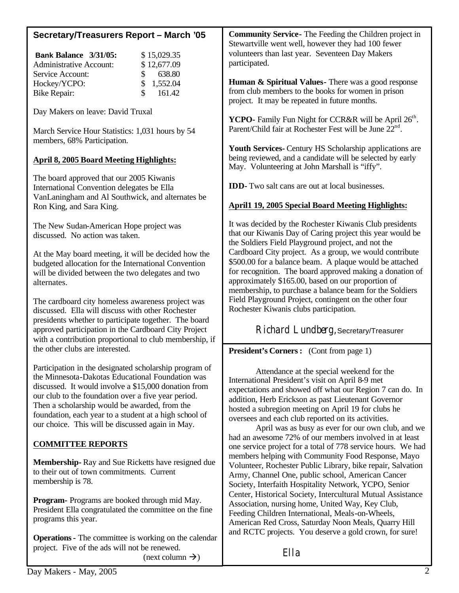| Secretary/Treasurers Report - March '05                                                                                                                                                                                                                                                                                        | <b>Community Service-</b> The Feeding the Children project in<br>Stewartville went well, however they had 100 fewer                                                                                                                                                                                                                                                                 |
|--------------------------------------------------------------------------------------------------------------------------------------------------------------------------------------------------------------------------------------------------------------------------------------------------------------------------------|-------------------------------------------------------------------------------------------------------------------------------------------------------------------------------------------------------------------------------------------------------------------------------------------------------------------------------------------------------------------------------------|
| Bank Balance 3/31/05:<br>\$15,029.35<br>\$12,677.09<br><b>Administrative Account:</b>                                                                                                                                                                                                                                          | volunteers than last year. Seventeen Day Makers<br>participated.                                                                                                                                                                                                                                                                                                                    |
| Service Account:<br>638.80<br>\$<br>\$<br>1,552.04<br>Hockey/YCPO:<br>\$<br>161.42<br><b>Bike Repair:</b>                                                                                                                                                                                                                      | Human & Spiritual Values - There was a good response<br>from club members to the books for women in prison<br>project. It may be repeated in future months.                                                                                                                                                                                                                         |
| Day Makers on leave: David Truxal                                                                                                                                                                                                                                                                                              | YCPO- Family Fun Night for CCR&R will be April 26 <sup>th</sup> .<br>Parent/Child fair at Rochester Fest will be June 22 <sup>nd</sup> .                                                                                                                                                                                                                                            |
| March Service Hour Statistics: 1,031 hours by 54<br>members, 68% Participation.                                                                                                                                                                                                                                                | Youth Services- Century HS Scholarship applications are                                                                                                                                                                                                                                                                                                                             |
| <b>April 8, 2005 Board Meeting Highlights:</b>                                                                                                                                                                                                                                                                                 | being reviewed, and a candidate will be selected by early<br>May. Volunteering at John Marshall is "iffy".                                                                                                                                                                                                                                                                          |
| The board approved that our 2005 Kiwanis<br>International Convention delegates be Ella<br>VanLaningham and Al Southwick, and alternates be                                                                                                                                                                                     | <b>IDD</b> -Two salt cans are out at local businesses.                                                                                                                                                                                                                                                                                                                              |
| Ron King, and Sara King.                                                                                                                                                                                                                                                                                                       | <b>April1 19, 2005 Special Board Meeting Highlights:</b>                                                                                                                                                                                                                                                                                                                            |
| The New Sudan-American Hope project was<br>discussed. No action was taken.                                                                                                                                                                                                                                                     | It was decided by the Rochester Kiwanis Club presidents<br>that our Kiwanis Day of Caring project this year would be<br>the Soldiers Field Playground project, and not the                                                                                                                                                                                                          |
| At the May board meeting, it will be decided how the<br>budgeted allocation for the International Convention<br>will be divided between the two delegates and two<br>alternates.                                                                                                                                               | Cardboard City project. As a group, we would contribute<br>\$500.00 for a balance beam. A plaque would be attached<br>for recognition. The board approved making a donation of<br>approximately \$165.00, based on our proportion of<br>membership, to purchase a balance beam for the Soldiers                                                                                     |
| The cardboard city homeless awareness project was<br>discussed. Ella will discuss with other Rochester<br>presidents whether to participate together. The board                                                                                                                                                                | Field Playground Project, contingent on the other four<br>Rochester Kiwanis clubs participation.                                                                                                                                                                                                                                                                                    |
| approved participation in the Cardboard City Project<br>with a contribution proportional to club membership, if<br>the other clubs are interested.                                                                                                                                                                             | Richard Lundberg, Secretary/Treasurer<br><b>President's Corners:</b> (Cont from page 1)                                                                                                                                                                                                                                                                                             |
| Participation in the designated scholarship program of                                                                                                                                                                                                                                                                         |                                                                                                                                                                                                                                                                                                                                                                                     |
| the Minnesota-Dakotas Educational Foundation was<br>discussed. It would involve a \$15,000 donation from<br>our club to the foundation over a five year period.<br>Then a scholarship would be awarded, from the<br>foundation, each year to a student at a high school of<br>our choice. This will be discussed again in May. | Attendance at the special weekend for the<br>International President's visit on April 8-9 met<br>expectations and showed off what our Region 7 can do. In<br>addition, Herb Erickson as past Lieutenant Governor<br>hosted a subregion meeting on April 19 for clubs he<br>oversees and each club reported on its activities.<br>April was as busy as ever for our own club, and we |
| <b>COMMITTEE REPORTS</b>                                                                                                                                                                                                                                                                                                       | had an awesome 72% of our members involved in at least<br>one service project for a total of 778 service hours. We had                                                                                                                                                                                                                                                              |
| Membership-Ray and Sue Ricketts have resigned due<br>to their out of town commitments. Current<br>membership is 78.                                                                                                                                                                                                            | members helping with Community Food Response, Mayo<br>Volunteer, Rochester Public Library, bike repair, Salvation<br>Army, Channel One, public school, American Cancer<br>Society, Interfaith Hospitality Network, YCPO, Senior                                                                                                                                                     |
| <b>Program-</b> Programs are booked through mid May.<br>President Ella congratulated the committee on the fine<br>programs this year.                                                                                                                                                                                          | Center, Historical Society, Intercultural Mutual Assistance<br>Association, nursing home, United Way, Key Club,<br>Feeding Children International, Meals-on-Wheels,<br>American Red Cross, Saturday Noon Meals, Quarry Hill<br>and RCTC projects. You deserve a gold crown, for sure!                                                                                               |
| <b>Operations -</b> The committee is working on the calendar<br>project. Five of the ads will not be renewed.<br>(next column $\rightarrow$ )                                                                                                                                                                                  | Ella                                                                                                                                                                                                                                                                                                                                                                                |